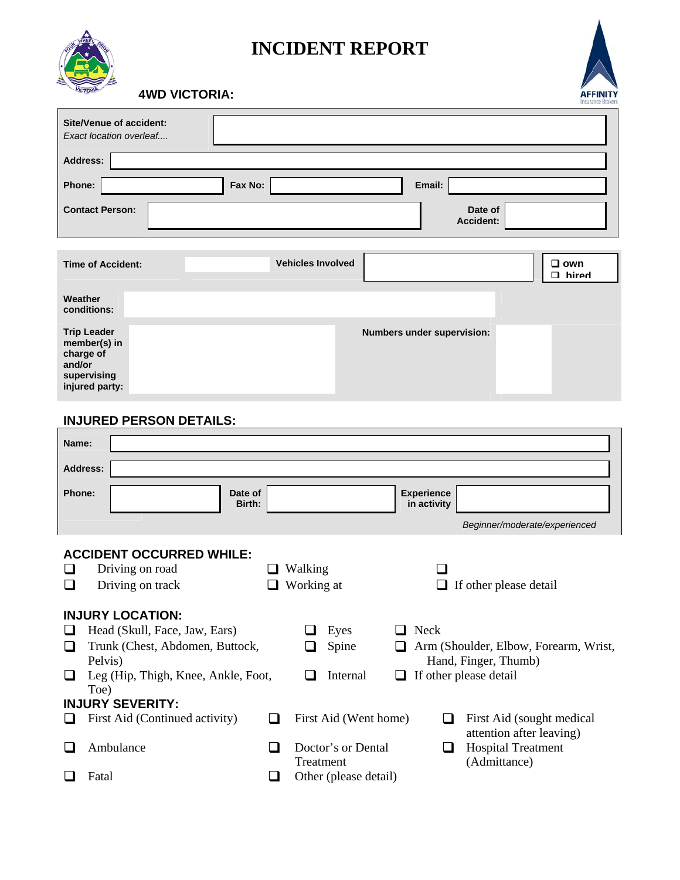

## **INCIDENT REPORT**



 **4WD VICTORIA:** 

| <b>Site/Venue of accident:</b><br>Exact location overleaf                                                                                                                                            |                   |                                                                                          |                                  |                                                                                         |  |
|------------------------------------------------------------------------------------------------------------------------------------------------------------------------------------------------------|-------------------|------------------------------------------------------------------------------------------|----------------------------------|-----------------------------------------------------------------------------------------|--|
| <b>Address:</b>                                                                                                                                                                                      |                   |                                                                                          |                                  |                                                                                         |  |
| Phone:                                                                                                                                                                                               | Fax No:           |                                                                                          | Email:                           |                                                                                         |  |
| <b>Contact Person:</b>                                                                                                                                                                               |                   |                                                                                          |                                  | Date of<br><b>Accident:</b>                                                             |  |
| <b>Time of Accident:</b>                                                                                                                                                                             |                   | <b>Vehicles Involved</b>                                                                 |                                  | □ own<br>$\square$ hired                                                                |  |
| Weather<br>conditions:                                                                                                                                                                               |                   |                                                                                          |                                  |                                                                                         |  |
| <b>Trip Leader</b><br>member(s) in<br>charge of<br>and/or<br>supervising<br>injured party:                                                                                                           |                   |                                                                                          | Numbers under supervision:       |                                                                                         |  |
| <b>INJURED PERSON DETAILS:</b>                                                                                                                                                                       |                   |                                                                                          |                                  |                                                                                         |  |
| Name:                                                                                                                                                                                                |                   |                                                                                          |                                  |                                                                                         |  |
| <b>Address:</b>                                                                                                                                                                                      |                   |                                                                                          |                                  |                                                                                         |  |
| Phone:                                                                                                                                                                                               | Date of<br>Birth: |                                                                                          | <b>Experience</b><br>in activity |                                                                                         |  |
|                                                                                                                                                                                                      |                   |                                                                                          |                                  | Beginner/moderate/experienced                                                           |  |
| <b>ACCIDENT OCCURRED WHILE:</b><br>Driving on road<br>Driving on track<br>H                                                                                                                          |                   | Walking<br>Working at                                                                    |                                  | If other please detail                                                                  |  |
| <b>INJURY LOCATION:</b><br>Head (Skull, Face, Jaw, Ears)<br>ப<br>Trunk (Chest, Abdomen, Buttock,<br>⊔<br>Pelvis)<br>Leg (Hip, Thigh, Knee, Ankle, Foot,<br>$\Box$<br>Toe)<br><b>INJURY SEVERITY:</b> |                   | Eyes<br>Spine<br>Internal<br>ப                                                           | Neck<br>ப                        | Arm (Shoulder, Elbow, Forearm, Wrist,<br>Hand, Finger, Thumb)<br>If other please detail |  |
| First Aid (Continued activity)<br>ப                                                                                                                                                                  | ❏                 | First Aid (Went home)                                                                    | ப                                | First Aid (sought medical<br>attention after leaving)                                   |  |
| Ambulance<br>ப                                                                                                                                                                                       | ப                 | <b>Hospital Treatment</b><br>Doctor's or Dental<br>$\overline{\phantom{a}}$<br>Treatment |                                  |                                                                                         |  |
| Fatal                                                                                                                                                                                                | ⊔                 | (Admittance)<br>Other (please detail)                                                    |                                  |                                                                                         |  |